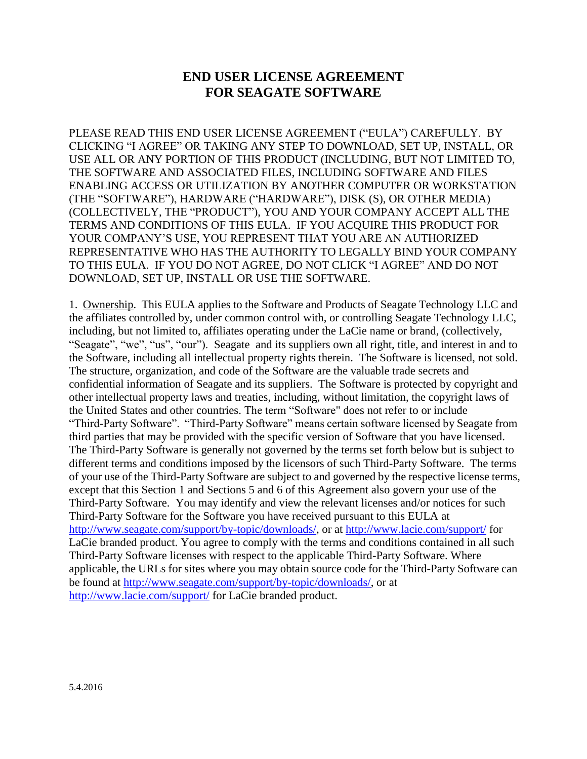## **END USER LICENSE AGREEMENT FOR SEAGATE SOFTWARE**

PLEASE READ THIS END USER LICENSE AGREEMENT ("EULA") CAREFULLY. BY CLICKING "I AGREE" OR TAKING ANY STEP TO DOWNLOAD, SET UP, INSTALL, OR USE ALL OR ANY PORTION OF THIS PRODUCT (INCLUDING, BUT NOT LIMITED TO, THE SOFTWARE AND ASSOCIATED FILES, INCLUDING SOFTWARE AND FILES ENABLING ACCESS OR UTILIZATION BY ANOTHER COMPUTER OR WORKSTATION (THE "SOFTWARE"), HARDWARE ("HARDWARE"), DISK (S), OR OTHER MEDIA) (COLLECTIVELY, THE "PRODUCT"), YOU AND YOUR COMPANY ACCEPT ALL THE TERMS AND CONDITIONS OF THIS EULA. IF YOU ACQUIRE THIS PRODUCT FOR YOUR COMPANY'S USE, YOU REPRESENT THAT YOU ARE AN AUTHORIZED REPRESENTATIVE WHO HAS THE AUTHORITY TO LEGALLY BIND YOUR COMPANY TO THIS EULA. IF YOU DO NOT AGREE, DO NOT CLICK "I AGREE" AND DO NOT DOWNLOAD, SET UP, INSTALL OR USE THE SOFTWARE.

1. Ownership. This EULA applies to the Software and Products of Seagate Technology LLC and the affiliates controlled by, under common control with, or controlling Seagate Technology LLC, including, but not limited to, affiliates operating under the LaCie name or brand, (collectively, "Seagate", "we", "us", "our"). Seagate and its suppliers own all right, title, and interest in and to the Software, including all intellectual property rights therein. The Software is licensed, not sold. The structure, organization, and code of the Software are the valuable trade secrets and confidential information of Seagate and its suppliers. The Software is protected by copyright and other intellectual property laws and treaties, including, without limitation, the copyright laws of the United States and other countries. The term "Software" does not refer to or include "Third-Party Software". "Third-Party Software" means certain software licensed by Seagate from third parties that may be provided with the specific version of Software that you have licensed. The Third-Party Software is generally not governed by the terms set forth below but is subject to different terms and conditions imposed by the licensors of such Third-Party Software. The terms of your use of the Third-Party Software are subject to and governed by the respective license terms, except that this Section 1 and Sections 5 and 6 of this Agreement also govern your use of the Third-Party Software. You may identify and view the relevant licenses and/or notices for such Third-Party Software for the Software you have received pursuant to this EULA at [http://www.seagate.com/support/by-topic/downloads/,](http://www.seagate.com/support/by-topic/downloads/) or at<http://www.lacie.com/support/> for LaCie branded product. You agree to comply with the terms and conditions contained in all such Third-Party Software licenses with respect to the applicable Third-Party Software. Where applicable, the URLs for sites where you may obtain source code for the Third-Party Software can be found at [http://www.seagate.com/support/by-topic/downloads/,](http://www.seagate.com/support/by-topic/downloads/) or at <http://www.lacie.com/support/> for LaCie branded product.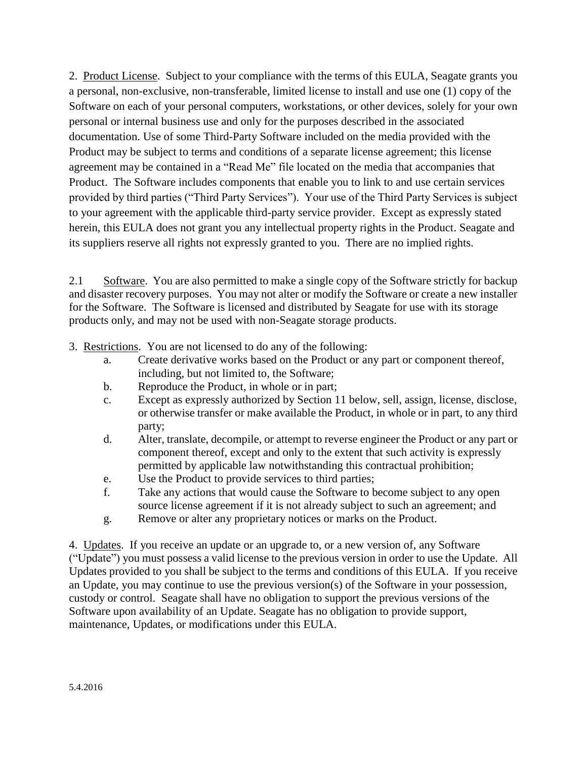2. Product License. Subject to your compliance with the terms of this EULA, Seagate grants you a personal, non-exclusive, non-transferable, limited license to install and use one (1) copy of the Software on each of your personal computers, workstations, or other devices, solely for your own personal or internal business use and only for the purposes described in the associated documentation. Use of some Third-Party Software included on the media provided with the Product may be subject to terms and conditions of a separate license agreement; this license agreement may be contained in a "Read Me" file located on the media that accompanies that Product. The Software includes components that enable you to link to and use certain services provided by third parties ("Third Party Services"). Your use of the Third Party Services is subject to your agreement with the applicable third-party service provider. Except as expressly stated herein, this EULA does not grant you any intellectual property rights in the Product. Seagate and its suppliers reserve all rights not expressly granted to you. There are no implied rights.

2.1 Software. You are also permitted to make a single copy of the Software strictly for backup and disaster recovery purposes. You may not alter or modify the Software or create a new installer for the Software. The Software is licensed and distributed by Seagate for use with its storage products only, and may not be used with non-Seagate storage products.

- 3. Restrictions. You are not licensed to do any of the following:
	- a. Create derivative works based on the Product or any part or component thereof, including, but not limited to, the Software;
	- b. Reproduce the Product, in whole or in part;
	- c. Except as expressly authorized by Section 11 below, sell, assign, license, disclose, or otherwise transfer or make available the Product, in whole or in part, to any third party;
	- d. Alter, translate, decompile, or attempt to reverse engineer the Product or any part or component thereof, except and only to the extent that such activity is expressly permitted by applicable law notwithstanding this contractual prohibition;
	- e. Use the Product to provide services to third parties;
	- f. Take any actions that would cause the Software to become subject to any open source license agreement if it is not already subject to such an agreement; and
	- g. Remove or alter any proprietary notices or marks on the Product.

4. Updates. If you receive an update or an upgrade to, or a new version of, any Software ("Update") you must possess a valid license to the previous version in order to use the Update. All Updates provided to you shall be subject to the terms and conditions of this EULA. If you receive an Update, you may continue to use the previous version(s) of the Software in your possession, custody or control. Seagate shall have no obligation to support the previous versions of the Software upon availability of an Update. Seagate has no obligation to provide support, maintenance, Updates, or modifications under this EULA.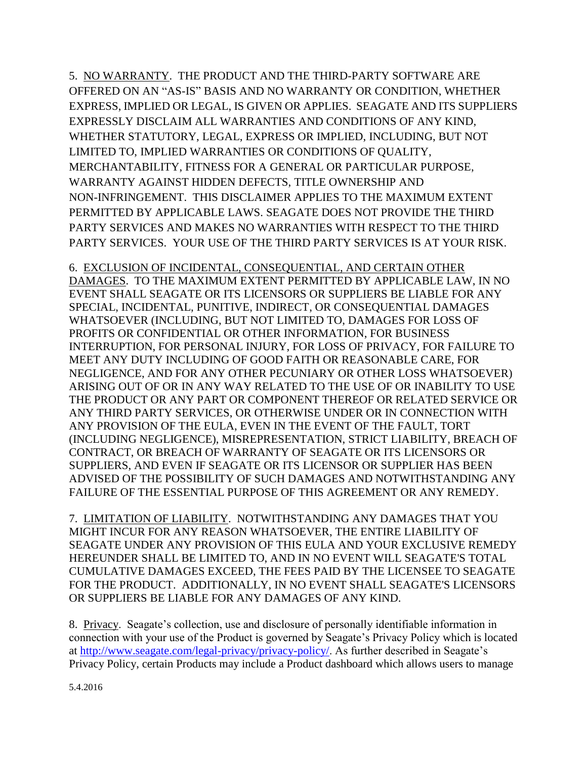5. NO WARRANTY. THE PRODUCT AND THE THIRD-PARTY SOFTWARE ARE OFFERED ON AN "AS-IS" BASIS AND NO WARRANTY OR CONDITION, WHETHER EXPRESS, IMPLIED OR LEGAL, IS GIVEN OR APPLIES. SEAGATE AND ITS SUPPLIERS EXPRESSLY DISCLAIM ALL WARRANTIES AND CONDITIONS OF ANY KIND, WHETHER STATUTORY, LEGAL, EXPRESS OR IMPLIED, INCLUDING, BUT NOT LIMITED TO, IMPLIED WARRANTIES OR CONDITIONS OF QUALITY, MERCHANTABILITY, FITNESS FOR A GENERAL OR PARTICULAR PURPOSE, WARRANTY AGAINST HIDDEN DEFECTS, TITLE OWNERSHIP AND NON-INFRINGEMENT. THIS DISCLAIMER APPLIES TO THE MAXIMUM EXTENT PERMITTED BY APPLICABLE LAWS. SEAGATE DOES NOT PROVIDE THE THIRD PARTY SERVICES AND MAKES NO WARRANTIES WITH RESPECT TO THE THIRD PARTY SERVICES. YOUR USE OF THE THIRD PARTY SERVICES IS AT YOUR RISK.

6. EXCLUSION OF INCIDENTAL, CONSEQUENTIAL, AND CERTAIN OTHER DAMAGES. TO THE MAXIMUM EXTENT PERMITTED BY APPLICABLE LAW, IN NO EVENT SHALL SEAGATE OR ITS LICENSORS OR SUPPLIERS BE LIABLE FOR ANY SPECIAL, INCIDENTAL, PUNITIVE, INDIRECT, OR CONSEQUENTIAL DAMAGES WHATSOEVER (INCLUDING, BUT NOT LIMITED TO, DAMAGES FOR LOSS OF PROFITS OR CONFIDENTIAL OR OTHER INFORMATION, FOR BUSINESS INTERRUPTION, FOR PERSONAL INJURY, FOR LOSS OF PRIVACY, FOR FAILURE TO MEET ANY DUTY INCLUDING OF GOOD FAITH OR REASONABLE CARE, FOR NEGLIGENCE, AND FOR ANY OTHER PECUNIARY OR OTHER LOSS WHATSOEVER) ARISING OUT OF OR IN ANY WAY RELATED TO THE USE OF OR INABILITY TO USE THE PRODUCT OR ANY PART OR COMPONENT THEREOF OR RELATED SERVICE OR ANY THIRD PARTY SERVICES, OR OTHERWISE UNDER OR IN CONNECTION WITH ANY PROVISION OF THE EULA, EVEN IN THE EVENT OF THE FAULT, TORT (INCLUDING NEGLIGENCE), MISREPRESENTATION, STRICT LIABILITY, BREACH OF CONTRACT, OR BREACH OF WARRANTY OF SEAGATE OR ITS LICENSORS OR SUPPLIERS, AND EVEN IF SEAGATE OR ITS LICENSOR OR SUPPLIER HAS BEEN ADVISED OF THE POSSIBILITY OF SUCH DAMAGES AND NOTWITHSTANDING ANY FAILURE OF THE ESSENTIAL PURPOSE OF THIS AGREEMENT OR ANY REMEDY.

7. LIMITATION OF LIABILITY. NOTWITHSTANDING ANY DAMAGES THAT YOU MIGHT INCUR FOR ANY REASON WHATSOEVER, THE ENTIRE LIABILITY OF SEAGATE UNDER ANY PROVISION OF THIS EULA AND YOUR EXCLUSIVE REMEDY HEREUNDER SHALL BE LIMITED TO, AND IN NO EVENT WILL SEAGATE'S TOTAL CUMULATIVE DAMAGES EXCEED, THE FEES PAID BY THE LICENSEE TO SEAGATE FOR THE PRODUCT. ADDITIONALLY, IN NO EVENT SHALL SEAGATE'S LICENSORS OR SUPPLIERS BE LIABLE FOR ANY DAMAGES OF ANY KIND.

8. Privacy. Seagate's collection, use and disclosure of personally identifiable information in connection with your use of the Product is governed by Seagate's Privacy Policy which is located at [http://www.seagate.com/legal-privacy/privacy-policy/.](http://www.seagate.com/legal-privacy/privacy-policy/) As further described in Seagate's Privacy Policy, certain Products may include a Product dashboard which allows users to manage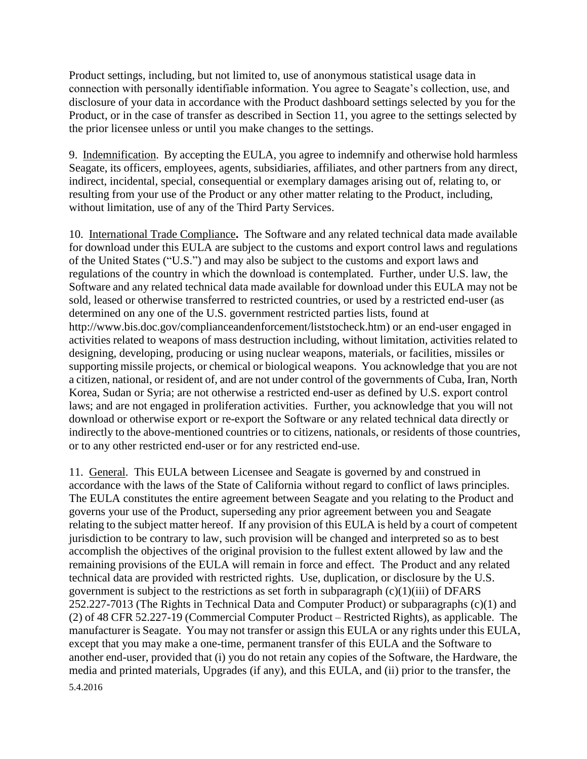Product settings, including, but not limited to, use of anonymous statistical usage data in connection with personally identifiable information. You agree to Seagate's collection, use, and disclosure of your data in accordance with the Product dashboard settings selected by you for the Product, or in the case of transfer as described in Section 11, you agree to the settings selected by the prior licensee unless or until you make changes to the settings.

9. Indemnification. By accepting the EULA, you agree to indemnify and otherwise hold harmless Seagate, its officers, employees, agents, subsidiaries, affiliates, and other partners from any direct, indirect, incidental, special, consequential or exemplary damages arising out of, relating to, or resulting from your use of the Product or any other matter relating to the Product, including, without limitation, use of any of the Third Party Services.

10. International Trade Compliance**.** The Software and any related technical data made available for download under this EULA are subject to the customs and export control laws and regulations of the United States ("U.S.") and may also be subject to the customs and export laws and regulations of the country in which the download is contemplated. Further, under U.S. law, the Software and any related technical data made available for download under this EULA may not be sold, leased or otherwise transferred to restricted countries, or used by a restricted end-user (as determined on any one of the U.S. government restricted parties lists, found at [http://www.bis.doc.gov/complianceandenforcement/liststocheck.htm\)](http://www.bis.doc.gov/complianceandenforcement/liststocheck.htm) or an end-user engaged in activities related to weapons of mass destruction including, without limitation, activities related to designing, developing, producing or using nuclear weapons, materials, or facilities, missiles or supporting missile projects, or chemical or biological weapons. You acknowledge that you are not a citizen, national, or resident of, and are not under control of the governments of Cuba, Iran, North Korea, Sudan or Syria; are not otherwise a restricted end-user as defined by U.S. export control laws; and are not engaged in proliferation activities. Further, you acknowledge that you will not download or otherwise export or re-export the Software or any related technical data directly or indirectly to the above-mentioned countries or to citizens, nationals, or residents of those countries, or to any other restricted end-user or for any restricted end-use.

11. General. This EULA between Licensee and Seagate is governed by and construed in accordance with the laws of the State of California without regard to conflict of laws principles. The EULA constitutes the entire agreement between Seagate and you relating to the Product and governs your use of the Product, superseding any prior agreement between you and Seagate relating to the subject matter hereof. If any provision of this EULA is held by a court of competent jurisdiction to be contrary to law, such provision will be changed and interpreted so as to best accomplish the objectives of the original provision to the fullest extent allowed by law and the remaining provisions of the EULA will remain in force and effect. The Product and any related technical data are provided with restricted rights. Use, duplication, or disclosure by the U.S. government is subject to the restrictions as set forth in subparagraph  $(c)(1)(iii)$  of DFARS 252.227-7013 (The Rights in Technical Data and Computer Product) or subparagraphs (c)(1) and (2) of 48 CFR 52.227-19 (Commercial Computer Product – Restricted Rights), as applicable. The manufacturer is Seagate. You may not transfer or assign this EULA or any rights under this EULA, except that you may make a one-time, permanent transfer of this EULA and the Software to another end-user, provided that (i) you do not retain any copies of the Software, the Hardware, the media and printed materials, Upgrades (if any), and this EULA, and (ii) prior to the transfer, the